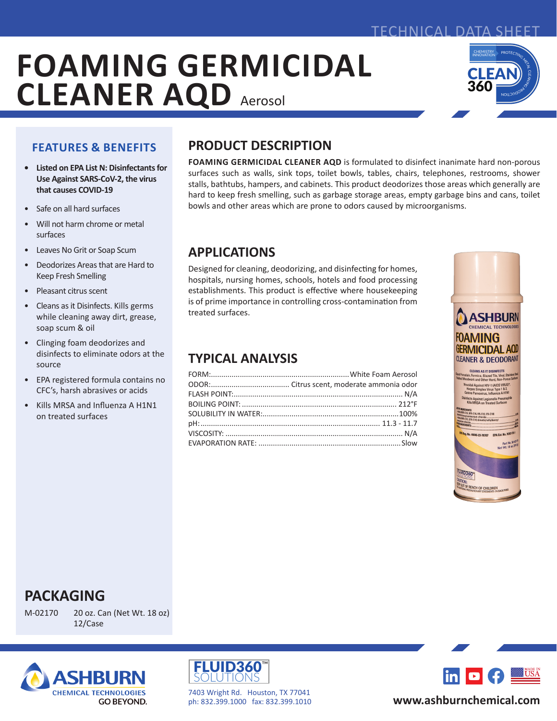## TECHNICAL DATA SHEET

# **FOAMING GERMICIDAL CLEANER AQD** Aerosol



## **FEATURES & BENEFITS**

- **• Listed on EPA List N: Disinfectants for Use Against SARS-CoV-2, the virus that causes COVID-19**
- Safe on all hard surfaces
- Will not harm chrome or metal surfaces
- Leaves No Grit or Soap Scum
- Deodorizes Areas that are Hard to Keep Fresh Smelling
- Pleasant citrus scent
- Cleans as it Disinfects. Kills germs while cleaning away dirt, grease, soap scum & oil
- Clinging foam deodorizes and disinfects to eliminate odors at the source
- EPA registered formula contains no CFC's, harsh abrasives or acids
- Kills MRSA and Influenza A H1N1 on treated surfaces

# **PRODUCT DESCRIPTION**

**FOAMING GERMICIDAL CLEANER AQD** is formulated to disinfect inanimate hard non-porous surfaces such as walls, sink tops, toilet bowls, tables, chairs, telephones, restrooms, shower stalls, bathtubs, hampers, and cabinets. This product deodorizes those areas which generally are hard to keep fresh smelling, such as garbage storage areas, empty garbage bins and cans, toilet bowls and other areas which are prone to odors caused by microorganisms.

## **APPLICATIONS**

Designed for cleaning, deodorizing, and disinfecting for homes, hospitals, nursing homes, schools, hotels and food processing establishments. This product is effective where housekeeping is of prime importance in controlling cross-contamination from treated surfaces.

## **TYPICAL ANALYSIS**



# **PACKAGING**

M-02170 20 oz. Can (Net Wt. 18 oz) 12/Case





7403 Wright Rd. Houston, TX 77041 ph: 832.399.1000 fax: 832.399.1010



## **www.ashburnchemical.com**